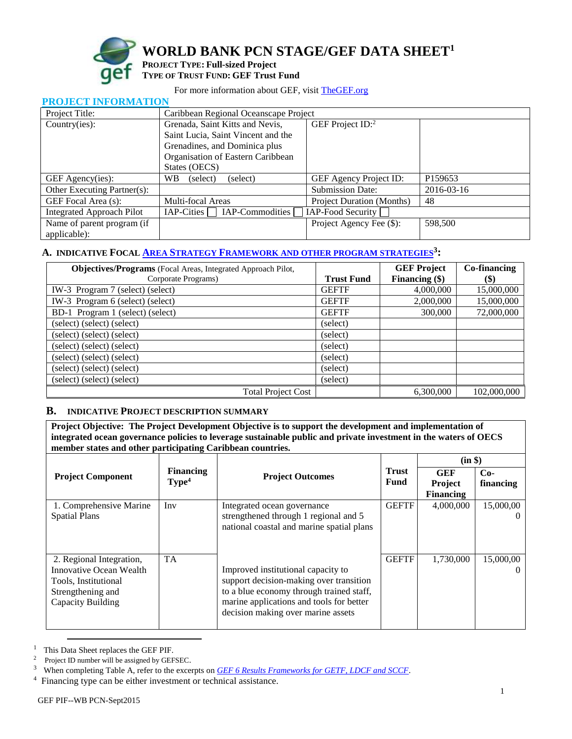

**PROJECT** 

**WORLD BANK PCN STAGE/GEF DATA SHEET<sup>1</sup>**

## **PROJECT TYPE: Full-sized Project TYPE OF TRUST FUND: GEF Trust Fund**

### For more information about GEF, visit [TheGEF.org](http://www.thegef.org/gef/home)

| FRUJECT INFURNIATION             |                                       |                                  |            |  |  |
|----------------------------------|---------------------------------------|----------------------------------|------------|--|--|
| Project Title:                   | Caribbean Regional Oceanscape Project |                                  |            |  |  |
| Country(ies):                    | Grenada, Saint Kitts and Nevis,       | GEF Project $ID$ <sup>2</sup>    |            |  |  |
|                                  | Saint Lucia, Saint Vincent and the    |                                  |            |  |  |
|                                  | Grenadines, and Dominica plus         |                                  |            |  |  |
|                                  | Organisation of Eastern Caribbean     |                                  |            |  |  |
|                                  | States (OECS)                         |                                  |            |  |  |
| GEF Agency(ies):                 | WB.<br>(select)<br>(select)           | GEF Agency Project ID:           | P159653    |  |  |
| Other Executing Partner(s):      |                                       | <b>Submission Date:</b>          | 2016-03-16 |  |  |
| GEF Focal Area (s):              | Multi-focal Areas                     | <b>Project Duration (Months)</b> | 48         |  |  |
| <b>Integrated Approach Pilot</b> | IAP-Commodities<br>IAP-Cities         | IAP-Food Security                |            |  |  |
| Name of parent program (if       |                                       | Project Agency Fee (\$):         | 598,500    |  |  |
| applicable):                     |                                       |                                  |            |  |  |

# **A. INDICATIVE FOCAL AREA STRATEGY FRAMEWORK [AND OTHER PROGRAM STRATEGIES](https://www.thegef.org/gef/sites/thegef.org/files/documents/document/GEF6%20Results%20Framework%20for%20GEFTF%20and%20LDCF.SCCF_.pdf)<sup>3</sup> :**

| <b>Objectives/Programs</b> (Focal Areas, Integrated Approach Pilot, |                   | <b>GEF Project</b> | Co-financing |
|---------------------------------------------------------------------|-------------------|--------------------|--------------|
| Corporate Programs)                                                 | <b>Trust Fund</b> | Financing $(\$)$   | \$)          |
| IW-3 Program 7 (select) (select)                                    | <b>GEFTF</b>      | 4,000,000          | 15,000,000   |
| IW-3 Program 6 (select) (select)                                    | <b>GEFTF</b>      | 2,000,000          | 15,000,000   |
| BD-1 Program 1 (select) (select)                                    | <b>GEFTF</b>      | 300,000            | 72,000,000   |
| (select) (select) (select)                                          | (select)          |                    |              |
| (select) (select) (select)                                          | (select)          |                    |              |
| (select) (select) (select)                                          | (select)          |                    |              |
| (select) (select) (select)                                          | (select)          |                    |              |
| (select) (select) (select)                                          | (select)          |                    |              |
| (select) (select) (select)                                          | (select)          |                    |              |
| <b>Total Project Cost</b>                                           |                   | 6,300,000          | 102,000,000  |

### **B. INDICATIVE PROJECT DESCRIPTION SUMMARY**

**Project Objective: The Project Development Objective is to support the development and implementation of integrated ocean governance policies to leverage sustainable public and private investment in the waters of OECS member states and other participating Caribbean countries.** 

|                                                                                                                       |                                       |                                                                                                                                                                                                             |                      | (in \$)                                          |                    |
|-----------------------------------------------------------------------------------------------------------------------|---------------------------------------|-------------------------------------------------------------------------------------------------------------------------------------------------------------------------------------------------------------|----------------------|--------------------------------------------------|--------------------|
| <b>Project Component</b>                                                                                              | <b>Financing</b><br>Type <sup>4</sup> | <b>Project Outcomes</b>                                                                                                                                                                                     | <b>Trust</b><br>Fund | <b>GEF</b><br><b>Project</b><br><b>Financing</b> | $Co-$<br>financing |
| 1. Comprehensive Marine<br><b>Spatial Plans</b>                                                                       | Inv                                   | Integrated ocean governance<br>strengthened through 1 regional and 5<br>national coastal and marine spatial plans                                                                                           | <b>GEFTF</b>         | 4,000,000                                        | 15,000,00          |
| 2. Regional Integration,<br>Innovative Ocean Wealth<br>Tools, Institutional<br>Strengthening and<br>Capacity Building | <b>TA</b>                             | Improved institutional capacity to<br>support decision-making over transition<br>to a blue economy through trained staff,<br>marine applications and tools for better<br>decision making over marine assets | <b>GEFTF</b>         | 1,730,000                                        | 15,000,00          |

<sup>1</sup> This Data Sheet replaces the GEF PIF.

 $\overline{a}$ 

<sup>2</sup> Project ID number will be assigned by GEFSEC.

<sup>3</sup> When completing Table A, refer to the excerpts on *[GEF 6 Results Frameworks for GETF, LDCF and SCCF](https://www.thegef.org/gef/sites/thegef.org/files/documents/document/GEF6%20Results%20Framework%20for%20GEFTF%20and%20LDCF.SCCF_.pdf)*.

<sup>&</sup>lt;sup>4</sup> Financing type can be either investment or technical assistance.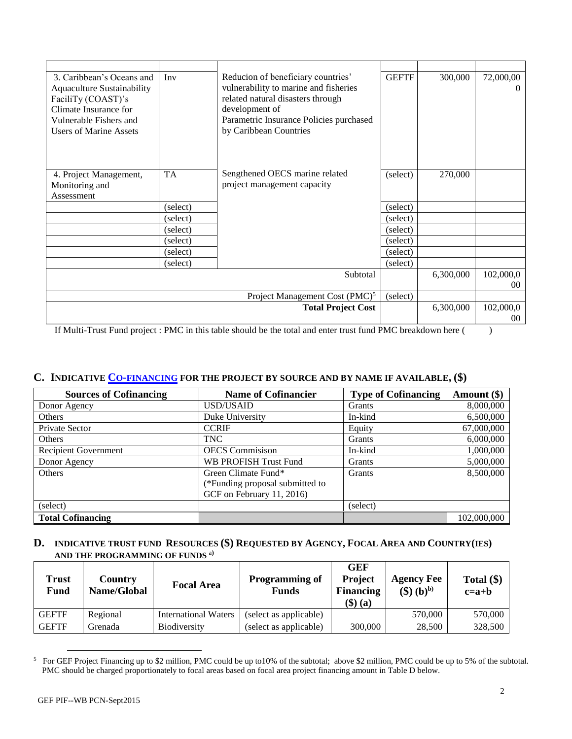| 3. Caribbean's Oceans and<br><b>Aquaculture Sustainability</b><br>FaciliTy (COAST)'s<br>Climate Insurance for<br>Vulnerable Fishers and<br><b>Users of Marine Assets</b> | Inv       | Reducion of beneficiary countries'<br>vulnerability to marine and fisheries<br>related natural disasters through<br>development of<br>Parametric Insurance Policies purchased<br>by Caribbean Countries | <b>GEFTF</b> | 300,000   | 72,000,00<br>$_{0}$ |
|--------------------------------------------------------------------------------------------------------------------------------------------------------------------------|-----------|---------------------------------------------------------------------------------------------------------------------------------------------------------------------------------------------------------|--------------|-----------|---------------------|
| 4. Project Management,<br>Monitoring and<br>Assessment                                                                                                                   | <b>TA</b> | Sengthened OECS marine related<br>project management capacity                                                                                                                                           | (select)     | 270,000   |                     |
|                                                                                                                                                                          | (select)  |                                                                                                                                                                                                         | (select)     |           |                     |
|                                                                                                                                                                          | (select)  |                                                                                                                                                                                                         | (select)     |           |                     |
|                                                                                                                                                                          | (select)  |                                                                                                                                                                                                         | (select)     |           |                     |
|                                                                                                                                                                          | (select)  |                                                                                                                                                                                                         | (select)     |           |                     |
|                                                                                                                                                                          | (select)  |                                                                                                                                                                                                         | (select)     |           |                     |
|                                                                                                                                                                          | (select)  |                                                                                                                                                                                                         | (select)     |           |                     |
|                                                                                                                                                                          |           | Subtotal                                                                                                                                                                                                |              | 6,300,000 | 102,000,0           |
|                                                                                                                                                                          |           |                                                                                                                                                                                                         |              |           | 00 <sup>2</sup>     |
|                                                                                                                                                                          |           | Project Management Cost (PMC) <sup>5</sup>                                                                                                                                                              | (select)     |           |                     |
|                                                                                                                                                                          |           | <b>Total Project Cost</b>                                                                                                                                                                               |              | 6,300,000 | 102,000,0           |
|                                                                                                                                                                          |           |                                                                                                                                                                                                         |              |           | $00\,$              |

If Multi-Trust Fund project : PMC in this table should be the total and enter trust fund PMC breakdown here ( )

## **C. INDICATIVE CO-[FINANCING](http://www.thegef.org/gef/policy/co-financing) FOR THE PROJECT BY SOURCE AND BY NAME IF AVAILABLE, (\$)**

| <b>Sources of Cofinancing</b> | <b>Name of Cofinancier</b>      | <b>Type of Cofinancing</b> | Amount (\$) |
|-------------------------------|---------------------------------|----------------------------|-------------|
| Donor Agency                  | USD/USAID                       | Grants                     | 8,000,000   |
| Others                        | Duke University                 | In-kind                    | 6,500,000   |
| Private Sector                | <b>CCRIF</b>                    | Equity                     | 67,000,000  |
| Others                        | <b>TNC</b>                      | Grants                     | 6,000,000   |
| <b>Recipient Government</b>   | <b>OECS</b> Commisison          | In-kind                    | 1,000,000   |
| Donor Agency                  | WB PROFISH Trust Fund           | Grants                     | 5,000,000   |
| Others                        | Green Climate Fund*             | Grants                     | 8,500,000   |
|                               | (*Funding proposal submitted to |                            |             |
|                               | GCF on February 11, 2016)       |                            |             |
| (select)                      |                                 | (select)                   |             |
| <b>Total Cofinancing</b>      |                                 |                            | 102,000,000 |

#### **D. INDICATIVE TRUST FUND RESOURCES (\$) REQUESTED BY AGENCY, FOCAL AREA AND COUNTRY(IES) AND THE PROGRAMMING OF FUNDS** <sup>a</sup>**)**

| Trust<br>Fund | Country<br>Name/Global | <b>Focal Area</b>           | <b>Programming of</b><br><b>Funds</b> | <b>GEF</b><br><b>Project</b><br><b>Financing</b><br>$(\$)$ (a) | <b>Agency Fee</b><br>$(\mathbf{\$})\,(\mathbf{b})^{\mathbf{b}}$ | Total $(\$)$<br>$c=a+b$ |
|---------------|------------------------|-----------------------------|---------------------------------------|----------------------------------------------------------------|-----------------------------------------------------------------|-------------------------|
| <b>GEFTF</b>  | Regional               | <b>International Waters</b> | (select as applicable)                |                                                                | 570,000                                                         | 570,000                 |
| <b>GEFTF</b>  | Grenada                | Biodiversity                | (select as applicable)                | 300,000                                                        | 28,500                                                          | 328,500                 |

<sup>&</sup>lt;sup>5</sup> For GEF Project Financing up to \$2 million, PMC could be up to 10% of the subtotal; above \$2 million, PMC could be up to 5% of the subtotal. PMC should be charged proportionately to focal areas based on focal area project financing amount in Table D below.

 $\overline{a}$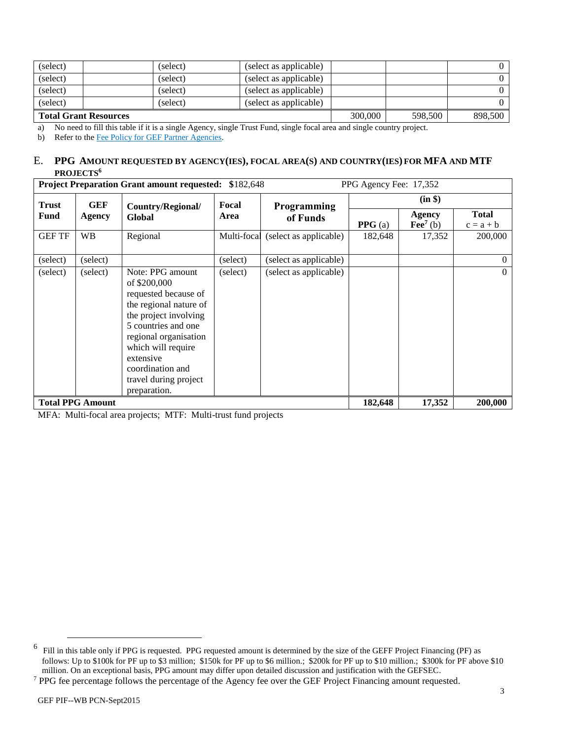| (select)                     |  | (select) | (select as applicable) |         |         | 0 |
|------------------------------|--|----------|------------------------|---------|---------|---|
| (select)                     |  | (select) | (select as applicable) |         |         | 0 |
| (select)                     |  | (select) | (select as applicable) |         |         | 0 |
| (select)                     |  | (select) | (select as applicable) |         |         |   |
| <b>Total Grant Resources</b> |  |          | 300,000                | 598,500 | 898.500 |   |

a) No need to fill this table if it is a single Agency, single Trust Fund, single focal area and single country project.

b) Refer to th[e Fee Policy for GEF Partner Agencies.](http://www.thegef.org/gef/sites/thegef.org/files/documents/document/gef-fee-policy.pdf)

#### E. **PPG AMOUNT REQUESTED BY AGENCY(IES), FOCAL AREA(S) AND COUNTRY(IES) FOR MFA AND MTF PROJECTS<sup>6</sup>**

| <b>Project Preparation Grant amount requested: \$182,648</b><br>PPG Agency Fee: 17,352 |                         |                                                                                                                                                                                                                                                             |             |                         |         |                                             |                             |
|----------------------------------------------------------------------------------------|-------------------------|-------------------------------------------------------------------------------------------------------------------------------------------------------------------------------------------------------------------------------------------------------------|-------------|-------------------------|---------|---------------------------------------------|-----------------------------|
| <b>Trust</b>                                                                           | GEF                     | Country/Regional/                                                                                                                                                                                                                                           | Focal       | Programming<br>of Funds | (in \$) |                                             |                             |
| <b>Fund</b>                                                                            | Agency                  | Global                                                                                                                                                                                                                                                      | Area        |                         | PPG(a)  | Agency<br>Fee <sup><math>7</math></sup> (b) | <b>Total</b><br>$c = a + b$ |
| <b>GEF TF</b>                                                                          | <b>WB</b>               | Regional                                                                                                                                                                                                                                                    | Multi-focal | (select as applicable)  | 182,648 | 17,352                                      | 200,000                     |
| (select)                                                                               | (select)                |                                                                                                                                                                                                                                                             | (select)    | (select as applicable)  |         |                                             | 0                           |
| (select)                                                                               | (select)                | Note: PPG amount<br>of \$200,000<br>requested because of<br>the regional nature of<br>the project involving<br>5 countries and one<br>regional organisation<br>which will require<br>extensive<br>coordination and<br>travel during project<br>preparation. | (select)    | (select as applicable)  |         |                                             | $\Omega$                    |
|                                                                                        | <b>Total PPG Amount</b> |                                                                                                                                                                                                                                                             |             |                         | 182,648 | 17,352                                      | 200,000                     |

MFA: Multi-focal area projects; MTF: Multi-trust fund projects

 $\overline{a}$ 

<sup>6</sup> Fill in this table only if PPG is requested. PPG requested amount is determined by the size of the GEFF Project Financing (PF) as follows: Up to \$100k for PF up to \$3 million; \$150k for PF up to \$6 million.; \$200k for PF up to \$10 million.; \$300k for PF above \$10 million. On an exceptional basis, PPG amount may differ upon detailed discussion and justification with the GEFSEC.

<sup>&</sup>lt;sup>7</sup> PPG fee percentage follows the percentage of the Agency fee over the GEF Project Financing amount requested.